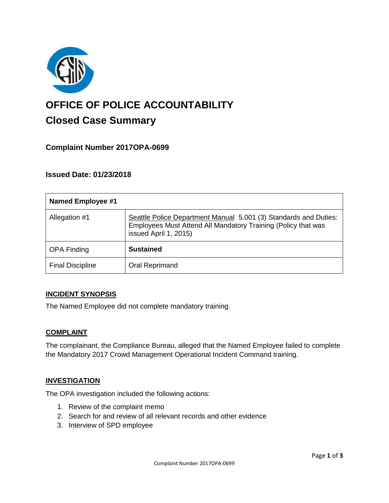

# **OFFICE OF POLICE ACCOUNTABILITY**

# **Closed Case Summary**

## **Complaint Number 2017OPA-0699**

## **Issued Date: 01/23/2018**

| <b>Named Employee #1</b> |                                                                                                                                                            |
|--------------------------|------------------------------------------------------------------------------------------------------------------------------------------------------------|
| Allegation #1            | Seattle Police Department Manual 5.001 (3) Standards and Duties:<br>Employees Must Attend All Mandatory Training (Policy that was<br>issued April 1, 2015) |
| <b>OPA Finding</b>       | <b>Sustained</b>                                                                                                                                           |
| <b>Final Discipline</b>  | Oral Reprimand                                                                                                                                             |

#### **INCIDENT SYNOPSIS**

The Named Employee did not complete mandatory training.

#### **COMPLAINT**

The complainant, the Compliance Bureau, alleged that the Named Employee failed to complete the Mandatory 2017 Crowd Management Operational Incident Command training.

#### **INVESTIGATION**

The OPA investigation included the following actions:

- 1. Review of the complaint memo
- 2. Search for and review of all relevant records and other evidence
- 3. Interview of SPD employee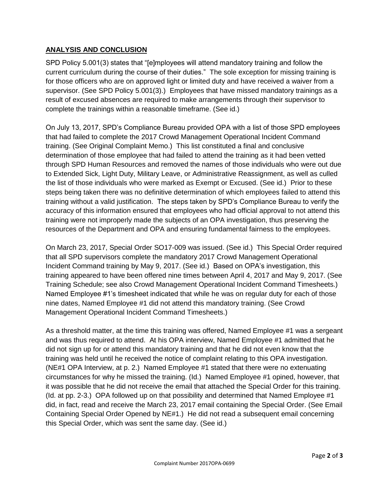#### **ANALYSIS AND CONCLUSION**

SPD Policy 5.001(3) states that "[e]mployees will attend mandatory training and follow the current curriculum during the course of their duties." The sole exception for missing training is for those officers who are on approved light or limited duty and have received a waiver from a supervisor. (See SPD Policy 5.001(3).) Employees that have missed mandatory trainings as a result of excused absences are required to make arrangements through their supervisor to complete the trainings within a reasonable timeframe. (See id.)

On July 13, 2017, SPD's Compliance Bureau provided OPA with a list of those SPD employees that had failed to complete the 2017 Crowd Management Operational Incident Command training. (See Original Complaint Memo.) This list constituted a final and conclusive determination of those employee that had failed to attend the training as it had been vetted through SPD Human Resources and removed the names of those individuals who were out due to Extended Sick, Light Duty, Military Leave, or Administrative Reassignment, as well as culled the list of those individuals who were marked as Exempt or Excused. (See id.) Prior to these steps being taken there was no definitive determination of which employees failed to attend this training without a valid justification. The steps taken by SPD's Compliance Bureau to verify the accuracy of this information ensured that employees who had official approval to not attend this training were not improperly made the subjects of an OPA investigation, thus preserving the resources of the Department and OPA and ensuring fundamental fairness to the employees.

On March 23, 2017, Special Order SO17-009 was issued. (See id.) This Special Order required that all SPD supervisors complete the mandatory 2017 Crowd Management Operational Incident Command training by May 9, 2017. (See id.) Based on OPA's investigation, this training appeared to have been offered nine times between April 4, 2017 and May 9, 2017. (See Training Schedule; see also Crowd Management Operational Incident Command Timesheets.) Named Employee #1's timesheet indicated that while he was on regular duty for each of those nine dates, Named Employee #1 did not attend this mandatory training. (See Crowd Management Operational Incident Command Timesheets.)

As a threshold matter, at the time this training was offered, Named Employee #1 was a sergeant and was thus required to attend. At his OPA interview, Named Employee #1 admitted that he did not sign up for or attend this mandatory training and that he did not even know that the training was held until he received the notice of complaint relating to this OPA investigation. (NE#1 OPA Interview, at p. 2.) Named Employee #1 stated that there were no extenuating circumstances for why he missed the training. (Id.) Named Employee #1 opined, however, that it was possible that he did not receive the email that attached the Special Order for this training. (Id. at pp. 2-3.) OPA followed up on that possibility and determined that Named Employee #1 did, in fact, read and receive the March 23, 2017 email containing the Special Order. (See Email Containing Special Order Opened by NE#1.) He did not read a subsequent email concerning this Special Order, which was sent the same day. (See id.)